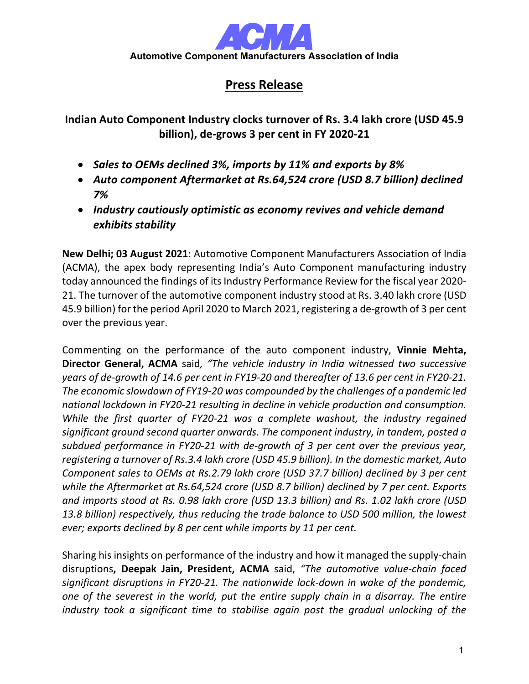

## **Press Release**

**Indian Auto Component Industry clocks turnover of Rs. 3.4 lakh crore (USD 45.9 billion), de-grows 3 per cent in FY 2020-21**

- *Sales to OEMs declined 3%, imports by 11% and exports by 8%*
- *Auto component Aftermarket at Rs.64,524 crore (USD 8.7 billion) declined 7%*
- *Industry cautiously optimistic as economy revives and vehicle demand exhibits stability*

**New Delhi; 03 August 2021**: Automotive Component Manufacturers Association of India (ACMA), the apex body representing India's Auto Component manufacturing industry today announced the findings of its Industry Performance Review for the fiscal year 2020-21. The turnover of the automotive component industry stood at Rs. 3.40 lakh crore (USD 45.9 billion) for the period April 2020 to March 2021, registering a de-growth of 3 per cent over the previous year.

Commenting on the performance of the auto component industry, **Vinnie Mehta, Director General, ACMA** said*, "The vehicle industry in India witnessed two successive years of de-growth of 14.6 per cent in FY19-20 and thereafter of 13.6 per cent in FY20-21. The economic slowdown of FY19-20 was compounded by the challenges of a pandemic led national lockdown in FY20-21 resulting in decline in vehicle production and consumption. While the first quarter of FY20-21 was a complete washout, the industry regained significant ground second quarter onwards. The component industry, in tandem, posted a subdued performance in FY20-21 with de-growth of 3 per cent over the previous year, registering a turnover of Rs.3.4 lakh crore (USD 45.9 billion). In the domestic market, Auto Component sales to OEMs at Rs.2.79 lakh crore (USD 37.7 billion) declined by 3 per cent while the Aftermarket at Rs.64,524 crore (USD 8.7 billion) declined by 7 per cent. Exports and imports stood at Rs. 0.98 lakh crore (USD 13.3 billion) and Rs. 1.02 lakh crore (USD 13.8 billion) respectively, thus reducing the trade balance to USD 500 million, the lowest ever; exports declined by 8 per cent while imports by 11 per cent.*

Sharing his insights on performance of the industry and how it managed the supply-chain disruptions**, Deepak Jain, President, ACMA** said, *"The automotive value-chain faced significant disruptions in FY20-21. The nationwide lock-down in wake of the pandemic, one of the severest in the world, put the entire supply chain in a disarray. The entire industry took a significant time to stabilise again post the gradual unlocking of the*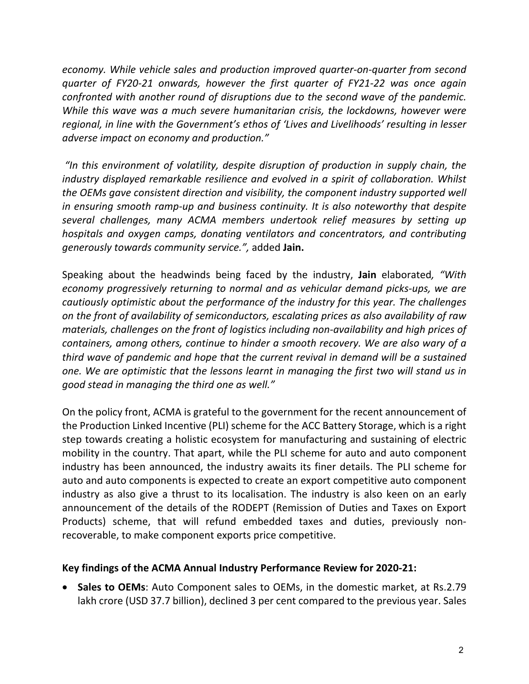*economy. While vehicle sales and production improved quarter-on-quarter from second quarter of FY20-21 onwards, however the first quarter of FY21-22 was once again confronted with another round of disruptions due to the second wave of the pandemic. While this wave was a much severe humanitarian crisis, the lockdowns, however were regional, in line with the Government's ethos of 'Lives and Livelihoods' resulting in lesser adverse impact on economy and production."*

*"In this environment of volatility, despite disruption of production in supply chain, the industry displayed remarkable resilience and evolved in a spirit of collaboration. Whilst the OEMs gave consistent direction and visibility, the component industry supported well in ensuring smooth ramp-up and business continuity. It is also noteworthy that despite several challenges, many ACMA members undertook relief measures by setting up hospitals and oxygen camps, donating ventilators and concentrators, and contributing generously towards community service.",* added **Jain.**

Speaking about the headwinds being faced by the industry, **Jain** elaborated*, "With economy progressively returning to normal and as vehicular demand picks-ups, we are cautiously optimistic about the performance of the industry for this year. The challenges on the front of availability of semiconductors, escalating prices as also availability of raw materials, challenges on the front of logistics including non-availability and high prices of containers, among others, continue to hinder a smooth recovery. We are also wary of a third wave of pandemic and hope that the current revival in demand will be a sustained one. We are optimistic that the lessons learnt in managing the first two will stand us in good stead in managing the third one as well."* 

On the policy front, ACMA is grateful to the government for the recent announcement of the Production Linked Incentive (PLI) scheme for the ACC Battery Storage, which is a right step towards creating a holistic ecosystem for manufacturing and sustaining of electric mobility in the country. That apart, while the PLI scheme for auto and auto component industry has been announced, the industry awaits its finer details. The PLI scheme for auto and auto components is expected to create an export competitive auto component industry as also give a thrust to its localisation. The industry is also keen on an early announcement of the details of the RODEPT (Remission of Duties and Taxes on Export Products) scheme, that will refund embedded taxes and duties, previously nonrecoverable, to make component exports price competitive.

## **Key findings of the ACMA Annual Industry Performance Review for 2020-21:**

• **Sales to OEMs**: Auto Component sales to OEMs, in the domestic market, at Rs.2.79 lakh crore (USD 37.7 billion), declined 3 per cent compared to the previous year. Sales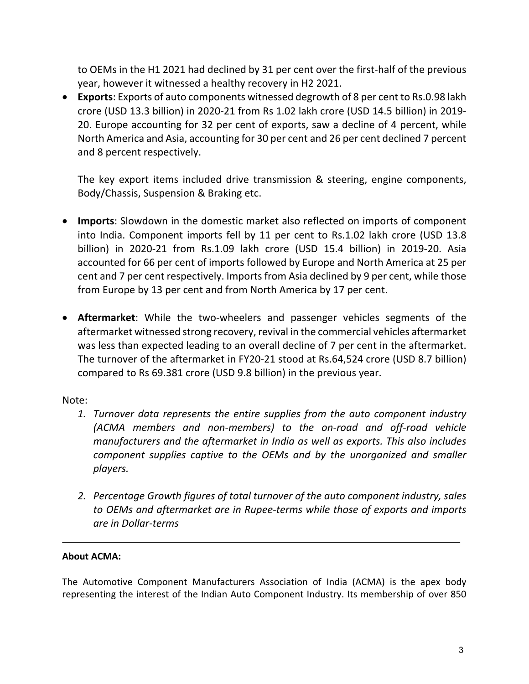to OEMs in the H1 2021 had declined by 31 per cent over the first-half of the previous year, however it witnessed a healthy recovery in H2 2021.

• **Exports**: Exports of auto components witnessed degrowth of 8 per cent to Rs.0.98 lakh crore (USD 13.3 billion) in 2020-21 from Rs 1.02 lakh crore (USD 14.5 billion) in 2019- 20. Europe accounting for 32 per cent of exports, saw a decline of 4 percent, while North America and Asia, accounting for 30 per cent and 26 per cent declined 7 percent and 8 percent respectively.

The key export items included drive transmission & steering, engine components, Body/Chassis, Suspension & Braking etc.

- **Imports**: Slowdown in the domestic market also reflected on imports of component into India. Component imports fell by 11 per cent to Rs.1.02 lakh crore (USD 13.8 billion) in 2020-21 from Rs.1.09 lakh crore (USD 15.4 billion) in 2019-20. Asia accounted for 66 per cent of imports followed by Europe and North America at 25 per cent and 7 per cent respectively. Imports from Asia declined by 9 per cent, while those from Europe by 13 per cent and from North America by 17 per cent.
- **Aftermarket**: While the two-wheelers and passenger vehicles segments of the aftermarket witnessed strong recovery, revival in the commercial vehicles aftermarket was less than expected leading to an overall decline of 7 per cent in the aftermarket. The turnover of the aftermarket in FY20-21 stood at Rs.64,524 crore (USD 8.7 billion) compared to Rs 69.381 crore (USD 9.8 billion) in the previous year.

Note:

- *1. Turnover data represents the entire supplies from the auto component industry (ACMA members and non-members) to the on-road and off-road vehicle manufacturers and the aftermarket in India as well as exports. This also includes component supplies captive to the OEMs and by the unorganized and smaller players.*
- *2. Percentage Growth figures of total turnover of the auto component industry, sales to OEMs and aftermarket are in Rupee-terms while those of exports and imports are in Dollar-terms*

## **About ACMA:**

The Automotive Component Manufacturers Association of India (ACMA) is the apex body representing the interest of the Indian Auto Component Industry. Its membership of over 850